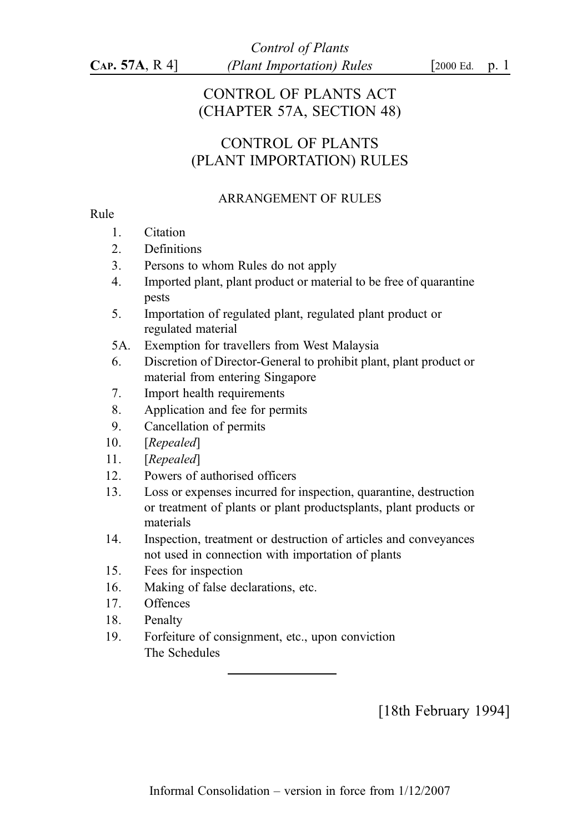# CONTROL OF PLANTS ACT (CHAPTER 57A, SECTION 48)

# CONTROL OF PLANTS (PLANT IMPORTATION) RULES

## ARRANGEMENT OF RULES

## Rule

- 1. Citation
- 2. Definitions
- 3. Persons to whom Rules do not apply
- 4. Imported plant, plant product or material to be free of quarantine pests
- 5. Importation of regulated plant, regulated plant product or regulated material
- 5A. Exemption for travellers from West Malaysia
- 6. Discretion of Director-General to prohibit plant, plant product or material from entering Singapore
- 7. Import health requirements
- 8. Application and fee for permits
- 9. Cancellation of permits
- 10. [Repealed]
- 11. [Repealed]
- 12. Powers of authorised officers
- 13. Loss or expenses incurred for inspection, quarantine, destruction or treatment of plants or plant productsplants, plant products or materials
- 14. Inspection, treatment or destruction of articles and conveyances not used in connection with importation of plants
- 15. Fees for inspection
- 16. Making of false declarations, etc.
- 17. Offences
- 18. Penalty
- 19. Forfeiture of consignment, etc., upon conviction The Schedules

[18th February 1994]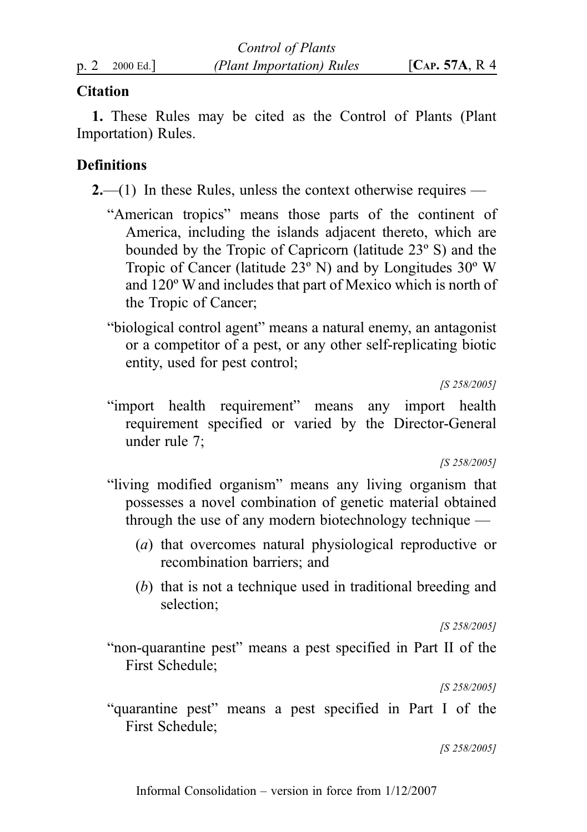# **Citation**

1. These Rules may be cited as the Control of Plants (Plant Importation) Rules.

# **Definitions**

 $2,-(1)$  In these Rules, unless the context otherwise requires —

- "American tropics" means those parts of the continent of America, including the islands adjacent thereto, which are bounded by the Tropic of Capricorn (latitude 23º S) and the Tropic of Cancer (latitude 23º N) and by Longitudes 30º W and 120º W and includes that part of Mexico which is north of the Tropic of Cancer;
- "biological control agent" means a natural enemy, an antagonist or a competitor of a pest, or any other self-replicating biotic entity, used for pest control;

[S 258/2005]

"import health requirement" means any import health requirement specified or varied by the Director-General under rule 7;

[S 258/2005]

- "living modified organism" means any living organism that possesses a novel combination of genetic material obtained through the use of any modern biotechnology technique —
	- (a) that overcomes natural physiological reproductive or recombination barriers; and
	- (b) that is not a technique used in traditional breeding and selection;

[S 258/2005]

"non-quarantine pest" means a pest specified in Part II of the First Schedule;

[S 258/2005]

"quarantine pest" means a pest specified in Part I of the First Schedule;

[S 258/2005]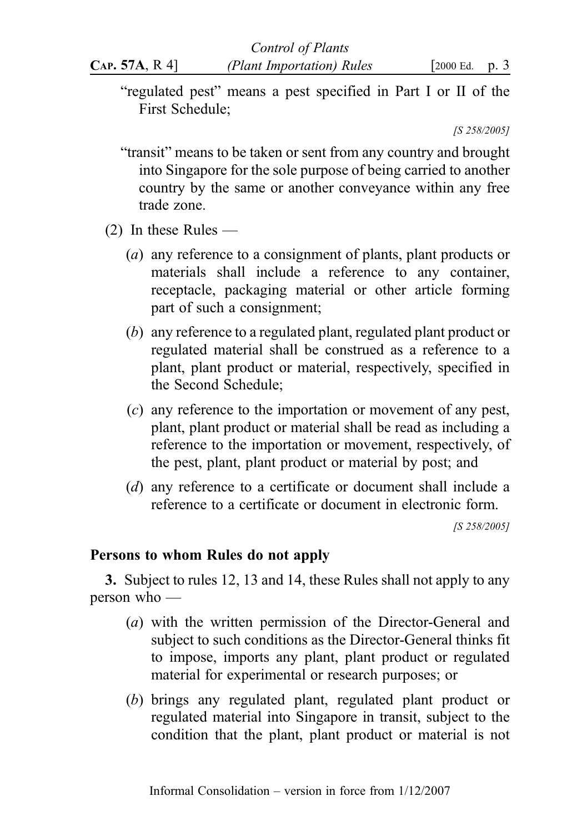"regulated pest" means a pest specified in Part I or II of the

[S 258/2005]

- "transit" means to be taken or sent from any country and brought into Singapore for the sole purpose of being carried to another country by the same or another conveyance within any free trade zone.
- (2) In these Rules —

First Schedule;

- (a) any reference to a consignment of plants, plant products or materials shall include a reference to any container, receptacle, packaging material or other article forming part of such a consignment;
- (b) any reference to a regulated plant, regulated plant product or regulated material shall be construed as a reference to a plant, plant product or material, respectively, specified in the Second Schedule;
- (c) any reference to the importation or movement of any pest, plant, plant product or material shall be read as including a reference to the importation or movement, respectively, of the pest, plant, plant product or material by post; and
- (d) any reference to a certificate or document shall include a reference to a certificate or document in electronic form.

[S 258/2005]

# Persons to whom Rules do not apply

3. Subject to rules 12, 13 and 14, these Rules shall not apply to any person who —

- (a) with the written permission of the Director-General and subject to such conditions as the Director-General thinks fit to impose, imports any plant, plant product or regulated material for experimental or research purposes; or
- (b) brings any regulated plant, regulated plant product or regulated material into Singapore in transit, subject to the condition that the plant, plant product or material is not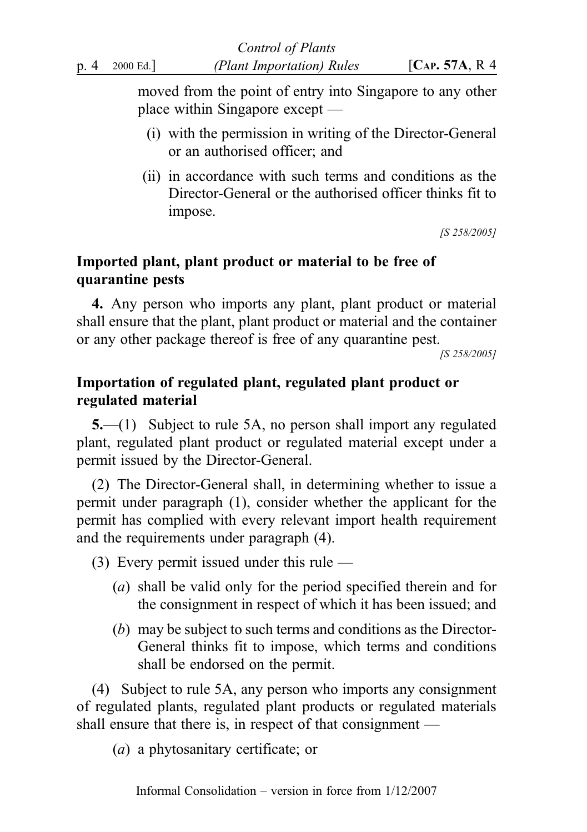moved from the point of entry into Singapore to any other place within Singapore except —

- (i) with the permission in writing of the Director-General or an authorised officer; and
- (ii) in accordance with such terms and conditions as the Director-General or the authorised officer thinks fit to impose.

[S 258/2005]

# Imported plant, plant product or material to be free of quarantine pests

4. Any person who imports any plant, plant product or material shall ensure that the plant, plant product or material and the container or any other package thereof is free of any quarantine pest.

[S 258/2005]

# Importation of regulated plant, regulated plant product or regulated material

5.—(1) Subject to rule 5A, no person shall import any regulated plant, regulated plant product or regulated material except under a permit issued by the Director-General.

(2) The Director-General shall, in determining whether to issue a permit under paragraph (1), consider whether the applicant for the permit has complied with every relevant import health requirement and the requirements under paragraph (4).

(3) Every permit issued under this rule —

- (a) shall be valid only for the period specified therein and for the consignment in respect of which it has been issued; and
- (b) may be subject to such terms and conditions as the Director-General thinks fit to impose, which terms and conditions shall be endorsed on the permit.

(4) Subject to rule 5A, any person who imports any consignment of regulated plants, regulated plant products or regulated materials shall ensure that there is, in respect of that consignment —

(a) a phytosanitary certificate; or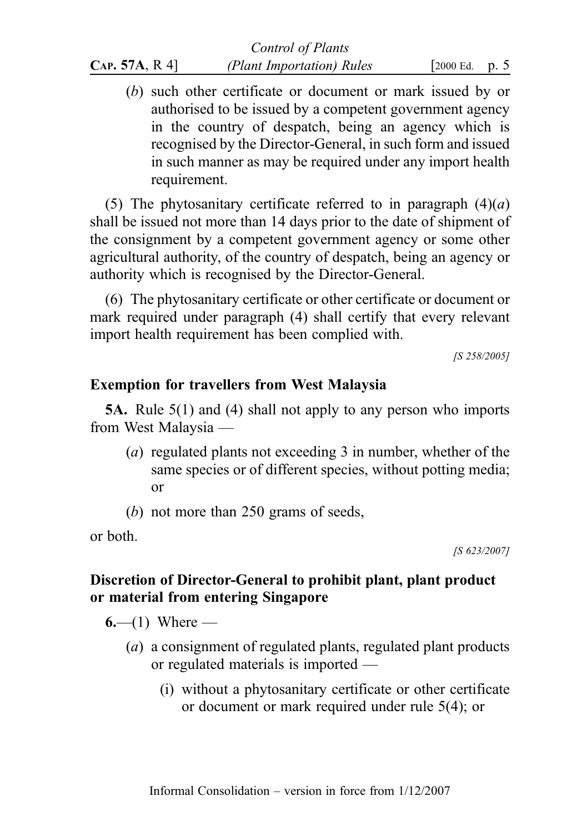|               | <b>Control of Plants</b>  |                    |  |
|---------------|---------------------------|--------------------|--|
| CAP. 57A, R4] | (Plant Importation) Rules | [ $2000$ Ed. p. 5] |  |

(b) such other certificate or document or mark issued by or authorised to be issued by a competent government agency in the country of despatch, being an agency which is recognised by the Director-General, in such form and issued in such manner as may be required under any import health requirement.

(5) The phytosanitary certificate referred to in paragraph  $(4)(a)$ shall be issued not more than 14 days prior to the date of shipment of the consignment by a competent government agency or some other agricultural authority, of the country of despatch, being an agency or authority which is recognised by the Director-General.

(6) The phytosanitary certificate or other certificate or document or mark required under paragraph (4) shall certify that every relevant import health requirement has been complied with.

[S 258/2005]

## Exemption for travellers from West Malaysia

5A. Rule 5(1) and (4) shall not apply to any person who imports from West Malaysia ––

- (a) regulated plants not exceeding 3 in number, whether of the same species or of different species, without potting media; or
- (b) not more than 250 grams of seeds,

or both.

[S 623/2007]

# Discretion of Director-General to prohibit plant, plant product or material from entering Singapore

6.—(1) Where —

- (a) a consignment of regulated plants, regulated plant products or regulated materials is imported —
	- (i) without a phytosanitary certificate or other certificate or document or mark required under rule 5(4); or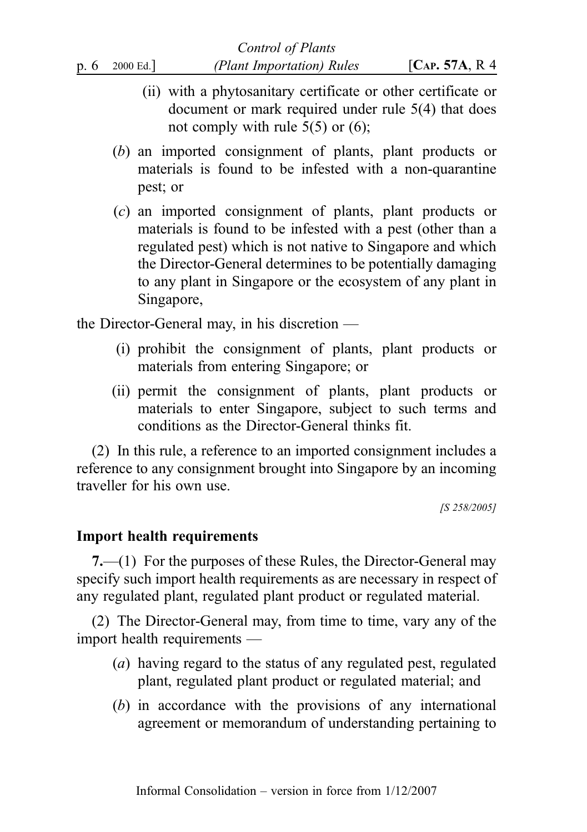- (ii) with a phytosanitary certificate or other certificate or document or mark required under rule 5(4) that does not comply with rule  $5(5)$  or  $(6)$ ;
- (b) an imported consignment of plants, plant products or materials is found to be infested with a non-quarantine pest; or
- (c) an imported consignment of plants, plant products or materials is found to be infested with a pest (other than a regulated pest) which is not native to Singapore and which the Director-General determines to be potentially damaging to any plant in Singapore or the ecosystem of any plant in Singapore,

the Director-General may, in his discretion —

- (i) prohibit the consignment of plants, plant products or materials from entering Singapore; or
- (ii) permit the consignment of plants, plant products or materials to enter Singapore, subject to such terms and conditions as the Director-General thinks fit.

(2) In this rule, a reference to an imported consignment includes a reference to any consignment brought into Singapore by an incoming traveller for his own use.

[S 258/2005]

## Import health requirements

7.—(1) For the purposes of these Rules, the Director-General may specify such import health requirements as are necessary in respect of any regulated plant, regulated plant product or regulated material.

(2) The Director-General may, from time to time, vary any of the import health requirements —

- (a) having regard to the status of any regulated pest, regulated plant, regulated plant product or regulated material; and
- (b) in accordance with the provisions of any international agreement or memorandum of understanding pertaining to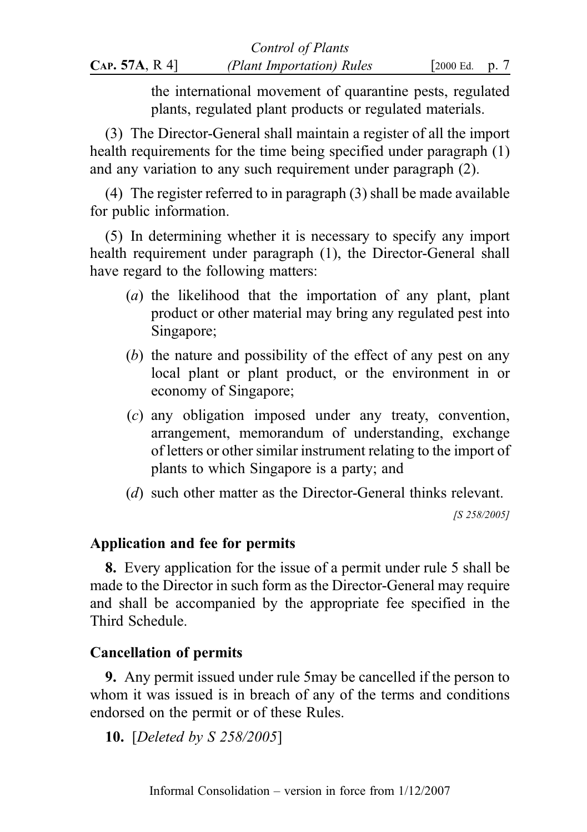the international movement of quarantine pests, regulated plants, regulated plant products or regulated materials.

(3) The Director-General shall maintain a register of all the import health requirements for the time being specified under paragraph (1) and any variation to any such requirement under paragraph (2).

(4) The register referred to in paragraph (3) shall be made available for public information.

(5) In determining whether it is necessary to specify any import health requirement under paragraph (1), the Director-General shall have regard to the following matters:

- (a) the likelihood that the importation of any plant, plant product or other material may bring any regulated pest into Singapore;
- (b) the nature and possibility of the effect of any pest on any local plant or plant product, or the environment in or economy of Singapore;
- (c) any obligation imposed under any treaty, convention, arrangement, memorandum of understanding, exchange of letters or other similar instrument relating to the import of plants to which Singapore is a party; and
- (d) such other matter as the Director-General thinks relevant.

[S 258/2005]

# Application and fee for permits

8. Every application for the issue of a permit under rule 5 shall be made to the Director in such form as the Director-General may require and shall be accompanied by the appropriate fee specified in the Third Schedule.

# Cancellation of permits

9. Any permit issued under rule 5may be cancelled if the person to whom it was issued is in breach of any of the terms and conditions endorsed on the permit or of these Rules.

10. [Deleted by S 258/2005]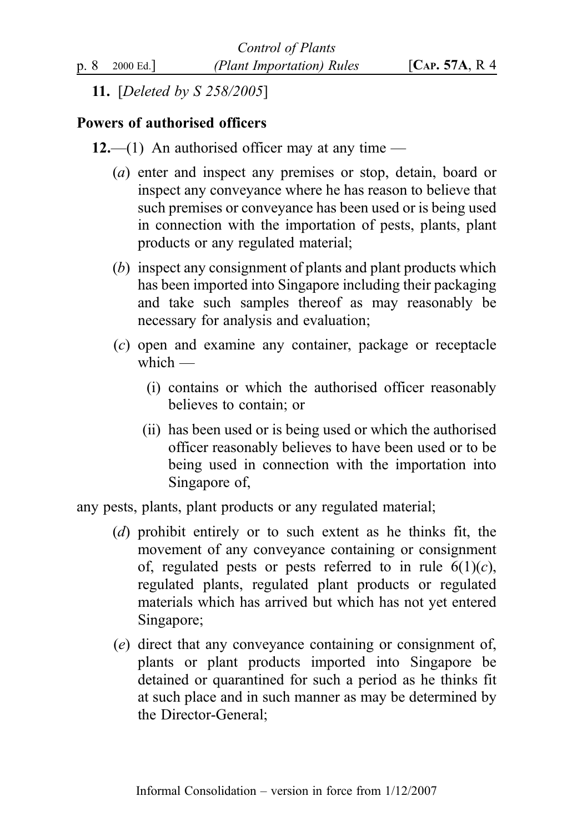11. [Deleted by S 258/2005]

# Powers of authorised officers

- 12.—(1) An authorised officer may at any time
	- (a) enter and inspect any premises or stop, detain, board or inspect any conveyance where he has reason to believe that such premises or conveyance has been used or is being used in connection with the importation of pests, plants, plant products or any regulated material;
	- (b) inspect any consignment of plants and plant products which has been imported into Singapore including their packaging and take such samples thereof as may reasonably be necessary for analysis and evaluation;
	- (c) open and examine any container, package or receptacle  $which =$ 
		- (i) contains or which the authorised officer reasonably believes to contain; or
		- (ii) has been used or is being used or which the authorised officer reasonably believes to have been used or to be being used in connection with the importation into Singapore of,

any pests, plants, plant products or any regulated material;

- (d) prohibit entirely or to such extent as he thinks fit, the movement of any conveyance containing or consignment of, regulated pests or pests referred to in rule  $6(1)(c)$ , regulated plants, regulated plant products or regulated materials which has arrived but which has not yet entered Singapore;
- (e) direct that any conveyance containing or consignment of, plants or plant products imported into Singapore be detained or quarantined for such a period as he thinks fit at such place and in such manner as may be determined by the Director-General;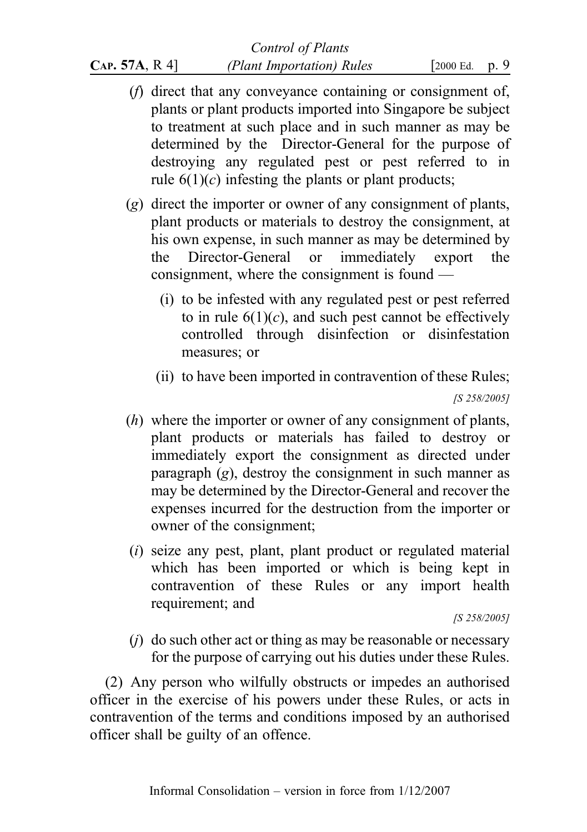# Control of Plants  $CAP. 57A, R 4$  (Plant Importation) Rules [2000 Ed. p. 9

- (f) direct that any conveyance containing or consignment of, plants or plant products imported into Singapore be subject to treatment at such place and in such manner as may be determined by the Director-General for the purpose of destroying any regulated pest or pest referred to in rule  $6(1)(c)$  infesting the plants or plant products;
- (g) direct the importer or owner of any consignment of plants, plant products or materials to destroy the consignment, at his own expense, in such manner as may be determined by the Director-General or immediately export the consignment, where the consignment is found —
	- (i) to be infested with any regulated pest or pest referred to in rule  $6(1)(c)$ , and such pest cannot be effectively controlled through disinfection or disinfestation measures; or
	- (ii) to have been imported in contravention of these Rules; [S 258/2005]
- (h) where the importer or owner of any consignment of plants, plant products or materials has failed to destroy or immediately export the consignment as directed under paragraph  $(g)$ , destroy the consignment in such manner as may be determined by the Director-General and recover the expenses incurred for the destruction from the importer or owner of the consignment;
- (i) seize any pest, plant, plant product or regulated material which has been imported or which is being kept in contravention of these Rules or any import health requirement; and

[S 258/2005]

 $(i)$  do such other act or thing as may be reasonable or necessary for the purpose of carrying out his duties under these Rules.

(2) Any person who wilfully obstructs or impedes an authorised officer in the exercise of his powers under these Rules, or acts in contravention of the terms and conditions imposed by an authorised officer shall be guilty of an offence.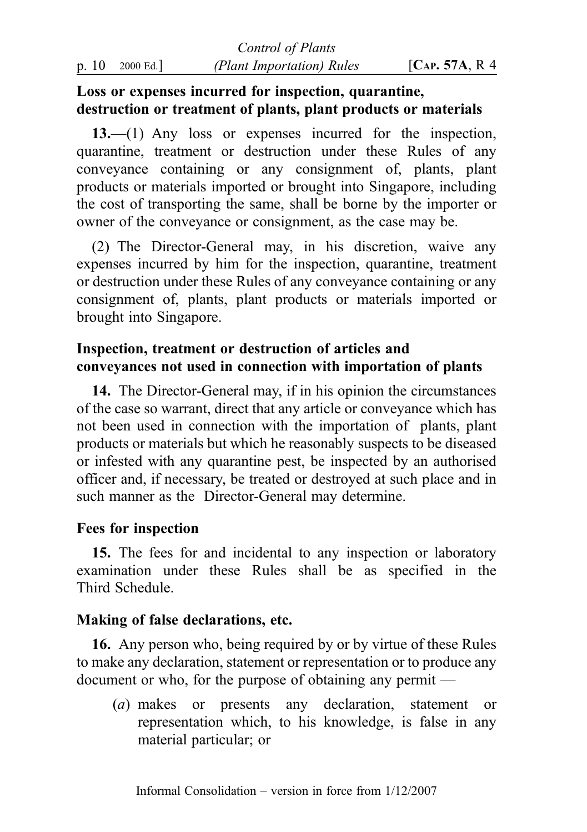# Loss or expenses incurred for inspection, quarantine, destruction or treatment of plants, plant products or materials

13.—(1) Any loss or expenses incurred for the inspection, quarantine, treatment or destruction under these Rules of any conveyance containing or any consignment of, plants, plant products or materials imported or brought into Singapore, including the cost of transporting the same, shall be borne by the importer or owner of the conveyance or consignment, as the case may be.

(2) The Director-General may, in his discretion, waive any expenses incurred by him for the inspection, quarantine, treatment or destruction under these Rules of any conveyance containing or any consignment of, plants, plant products or materials imported or brought into Singapore.

# Inspection, treatment or destruction of articles and conveyances not used in connection with importation of plants

14. The Director-General may, if in his opinion the circumstances of the case so warrant, direct that any article or conveyance which has not been used in connection with the importation of plants, plant products or materials but which he reasonably suspects to be diseased or infested with any quarantine pest, be inspected by an authorised officer and, if necessary, be treated or destroyed at such place and in such manner as the Director-General may determine.

# Fees for inspection

15. The fees for and incidental to any inspection or laboratory examination under these Rules shall be as specified in the Third Schedule.

# Making of false declarations, etc.

16. Any person who, being required by or by virtue of these Rules to make any declaration, statement or representation or to produce any document or who, for the purpose of obtaining any permit —

(a) makes or presents any declaration, statement or representation which, to his knowledge, is false in any material particular; or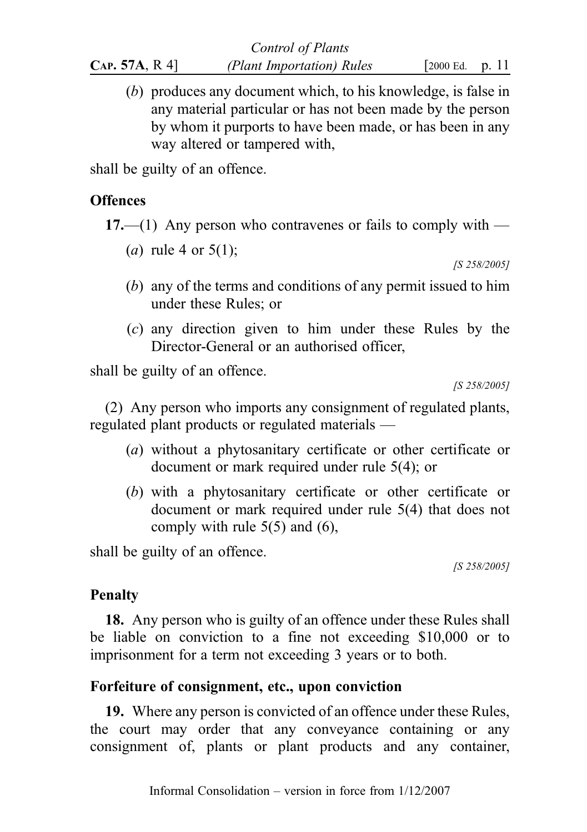(b) produces any document which, to his knowledge, is false in any material particular or has not been made by the person by whom it purports to have been made, or has been in any way altered or tampered with,

shall be guilty of an offence.

# **Offences**

17.—(1) Any person who contravenes or fails to comply with —

(a) rule 4 or  $5(1)$ ;

[S 258/2005]

- (b) any of the terms and conditions of any permit issued to him under these Rules; or
- (c) any direction given to him under these Rules by the Director-General or an authorised officer,

shall be guilty of an offence.

[S 258/2005]

(2) Any person who imports any consignment of regulated plants, regulated plant products or regulated materials —

- (a) without a phytosanitary certificate or other certificate or document or mark required under rule 5(4); or
- (b) with a phytosanitary certificate or other certificate or document or mark required under rule 5(4) that does not comply with rule 5(5) and (6),

shall be guilty of an offence.

[S 258/2005]

# Penalty

18. Any person who is guilty of an offence under these Rules shall be liable on conviction to a fine not exceeding \$10,000 or to imprisonment for a term not exceeding 3 years or to both.

# Forfeiture of consignment, etc., upon conviction

19. Where any person is convicted of an offence under these Rules, the court may order that any conveyance containing or any consignment of, plants or plant products and any container,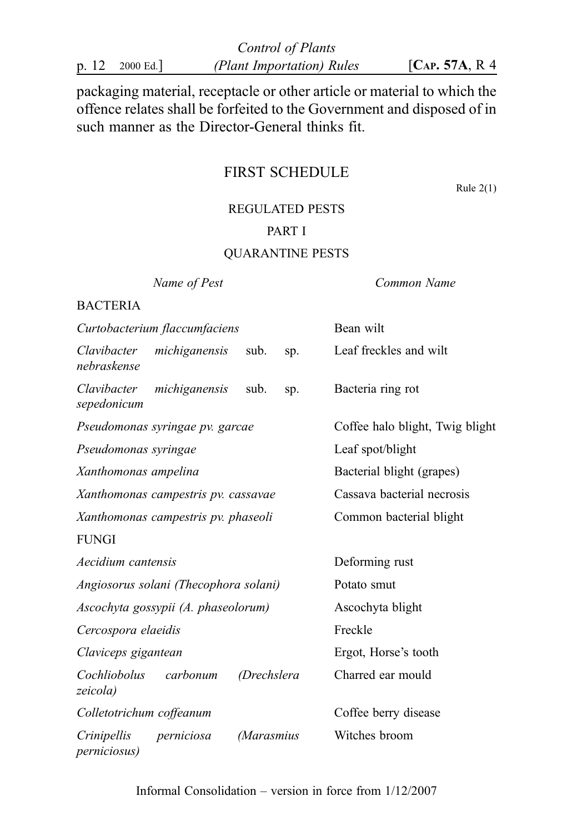| Control of Plants |          |                           |                  |  |
|-------------------|----------|---------------------------|------------------|--|
| p. 12             | 2000 Ed. | (Plant Importation) Rules | [ $CAP. 57A, R4$ |  |

packaging material, receptacle or other article or material to which the offence relates shall be forfeited to the Government and disposed of in such manner as the Director-General thinks fit.

# FIRST SCHEDULE

Rule  $2(1)$ 

### REGULATED PESTS

## PART I

## QUARANTINE PESTS

Name of Pest **Common Name** 

### BACTERIA

| Curtobacterium flaccumfaciens                                   | Bean wilt                       |
|-----------------------------------------------------------------|---------------------------------|
| Clavibacter<br>michiganensis<br>sub.<br>sp.<br>nebraskense      | Leaf freckles and wilt          |
| Clavibacter<br>michiganensis<br>sub.<br>sp.<br>sepedonicum      | Bacteria ring rot               |
| Pseudomonas syringae pv. garcae                                 | Coffee halo blight, Twig blight |
| Pseudomonas syringae                                            | Leaf spot/blight                |
| Xanthomonas ampelina                                            | Bacterial blight (grapes)       |
| Xanthomonas campestris pv. cassavae                             | Cassava bacterial necrosis      |
| Xanthomonas campestris pv. phaseoli                             | Common bacterial blight         |
| <b>FUNGI</b>                                                    |                                 |
| Aecidium cantensis                                              | Deforming rust                  |
| Angiosorus solani (Thecophora solani)                           | Potato smut                     |
| Ascochyta gossypii (A. phaseolorum)                             | Ascochyta blight                |
| Cercospora elaeidis                                             | Freckle                         |
| Claviceps gigantean                                             | Ergot, Horse's tooth            |
| Cochliobolus<br>carbonum<br>(Drechslera<br>zeicola)             | Charred ear mould               |
| Colletotrichum coffeanum                                        | Coffee berry disease            |
| Crinipellis<br>perniciosa<br>(Marasmius<br><i>perniciosus</i> ) | Witches broom                   |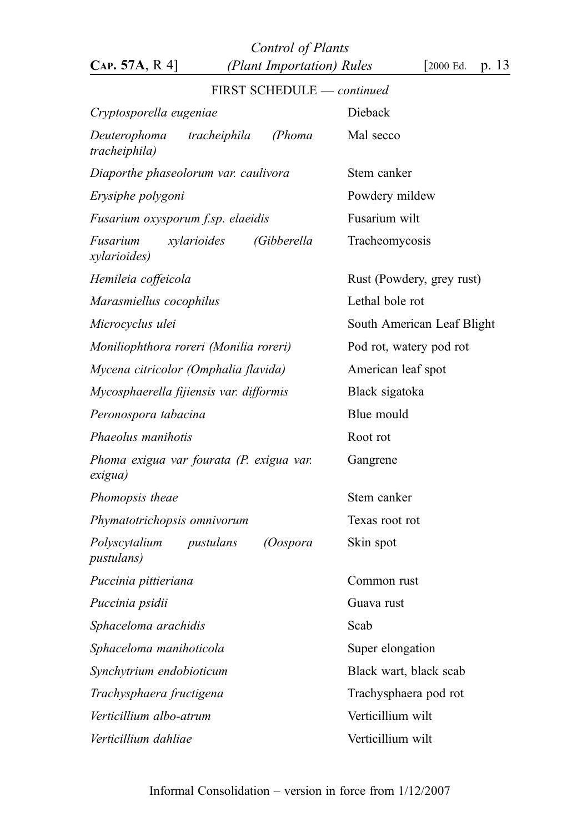Control of Plants  $CAP. 57A, R 4$  (Plant Importation) Rules [2000 Ed. p. 13

# FIRST SCHEDULE — continued Cryptosporella eugeniae Dieback Deuterophoma tracheiphila (Phoma tracheiphila) Mal secco Diaporthe phaseolorum var. caulivora Stem canker Erysiphe polygoni Powdery mildew Fusarium oxysporum f.sp. elaeidis Fusarium wilt Fusarium xylarioides (Gibberella xylarioides) Tracheomycosis Hemileia coffeicola **Rust (Powdery, grey rust)** Marasmiellus cocophilus Lethal bole rot Microcyclus ulei South American Leaf Blight Moniliophthora roreri (Monilia roreri) Pod rot, watery pod rot Mycena citricolor (Omphalia flavida) American leaf spot Mycosphaerella fijiensis var. difformis Black sigatoka Peronospora tabacina entrante a Blue mould Phaeolus manihotis Root rot Phoma exigua var fourata (P. exigua var. exigua) Gangrene Phomopsis theae Stem canker Phymatotrichopsis omnivorum Texas root rot Polyscytalium pustulans (Oospora pustulans) Skin spot Puccinia pittieriana Common rust Puccinia psidii quartitud Guava rust Sphaceloma arachidis Scab Sphaceloma manihoticola Super elongation Synchytrium endobioticum Black wart, black scab Trachysphaera fructigena Trachysphaera pod rot Verticillium albo-atrum vilt Verticillium dahliae Verticillium wilt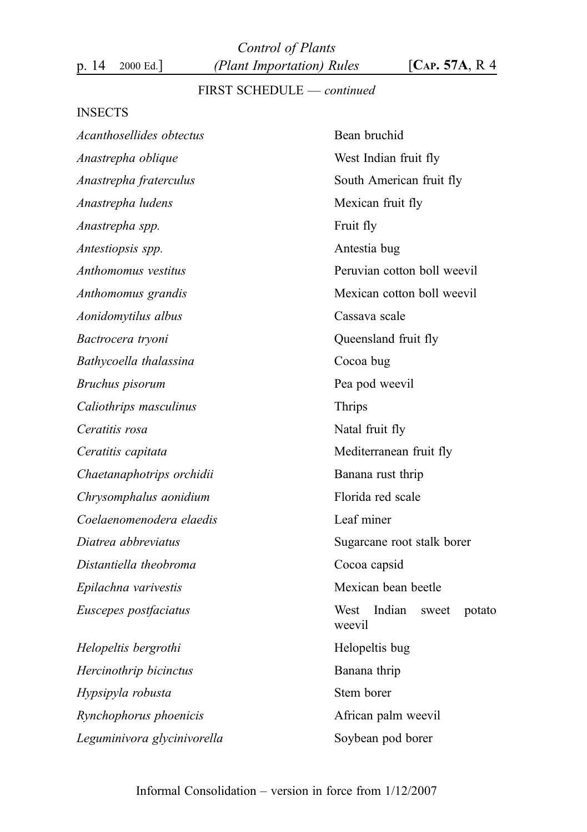Control of Plants p. 14 2000 Ed.]  $(Plant\, Important\,) Rules$   $[Car. 57A, R4]$ 

# FIRST SCHEDULE — continued

#### INSECTS

| Acanthosellides obtectus    | Bean bruchid                             |  |
|-----------------------------|------------------------------------------|--|
| Anastrepha oblique          | West Indian fruit fly                    |  |
| Anastrepha fraterculus      | South American fruit fly                 |  |
| Anastrepha ludens           | Mexican fruit fly                        |  |
| Anastrepha spp.             | Fruit fly                                |  |
| Antestiopsis spp.           | Antestia bug                             |  |
| Anthomomus vestitus         | Peruvian cotton boll weevil              |  |
| Anthomomus grandis          | Mexican cotton boll weevil               |  |
| Aonidomytilus albus         | Cassava scale                            |  |
| Bactrocera tryoni           | Queensland fruit fly                     |  |
| Bathycoella thalassina      | Cocoa bug                                |  |
| Bruchus pisorum             | Pea pod weevil                           |  |
| Caliothrips masculinus      | <b>Thrips</b>                            |  |
| Ceratitis rosa              | Natal fruit fly                          |  |
| Ceratitis capitata          | Mediterranean fruit fly                  |  |
| Chaetanaphotrips orchidii   | Banana rust thrip                        |  |
| Chrysomphalus aonidium      | Florida red scale                        |  |
| Coelaenomenodera elaedis    | Leaf miner                               |  |
| Diatrea abbreviatus         | Sugarcane root stalk borer               |  |
| Distantiella theobroma      | Cocoa capsid                             |  |
| Epilachna varivestis        | Mexican bean beetle                      |  |
| Euscepes postfaciatus       | West Indian<br>sweet<br>potato<br>weevil |  |
| Helopeltis bergrothi        | Helopeltis bug                           |  |
| Hercinothrip bicinctus      | Banana thrip                             |  |
| Hypsipyla robusta           | Stem borer                               |  |
| Rynchophorus phoenicis      | African palm weevil                      |  |
| Leguminivora glycinivorella | Soybean pod borer                        |  |
|                             |                                          |  |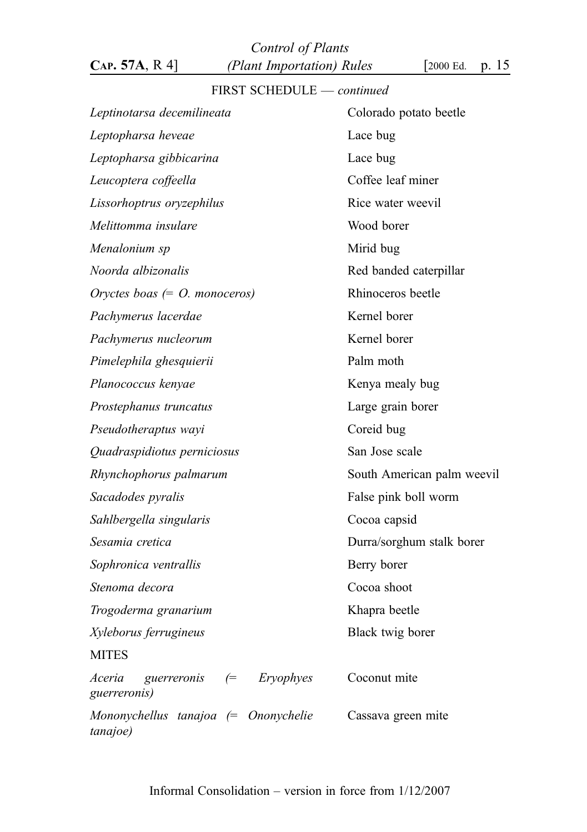Control of Plants  $CAP. 57A, R 4$  (Plant Importation) Rules [2000 Ed. p. 15

# FIRST SCHEDULE — continued

| Leptinotarsa decemilineata                                 | Colorado potato beetle     |  |
|------------------------------------------------------------|----------------------------|--|
| Leptopharsa heveae                                         | Lace bug                   |  |
| Leptopharsa gibbicarina                                    | Lace bug                   |  |
| Leucoptera coffeella                                       | Coffee leaf miner          |  |
| Lissorhoptrus oryzephilus                                  | Rice water weevil          |  |
| Melittomma insulare                                        | Wood borer                 |  |
| Menalonium sp                                              | Mirid bug                  |  |
| Noorda albizonalis                                         | Red banded caterpillar     |  |
| Oryctes boas $(= O.$ monoceros)                            | Rhinoceros beetle          |  |
| Pachymerus lacerdae                                        | Kernel borer               |  |
| Pachymerus nucleorum                                       | Kernel borer               |  |
| Pimelephila ghesquierii                                    | Palm moth                  |  |
| Planococcus kenyae                                         | Kenya mealy bug            |  |
| Prostephanus truncatus                                     | Large grain borer          |  |
| Pseudotheraptus wayi                                       | Coreid bug                 |  |
| Quadraspidiotus perniciosus                                | San Jose scale             |  |
| Rhynchophorus palmarum                                     | South American palm weevil |  |
| Sacadodes pyralis                                          | False pink boll worm       |  |
| Sahlbergella singularis                                    | Cocoa capsid               |  |
| Sesamia cretica                                            | Durra/sorghum stalk borer  |  |
| Sophronica ventrallis                                      | Berry borer                |  |
| Stenoma decora                                             | Cocoa shoot                |  |
| Trogoderma granarium                                       | Khapra beetle              |  |
| Xyleborus ferrugineus                                      | Black twig borer           |  |
| <b>MITES</b>                                               |                            |  |
| Aceria<br>guerreronis $\epsilon$ Eryophyes<br>guerreronis) | Coconut mite               |  |
| Mononychellus tanajoa (= Ononychelie<br>tanajoe)           | Cassava green mite         |  |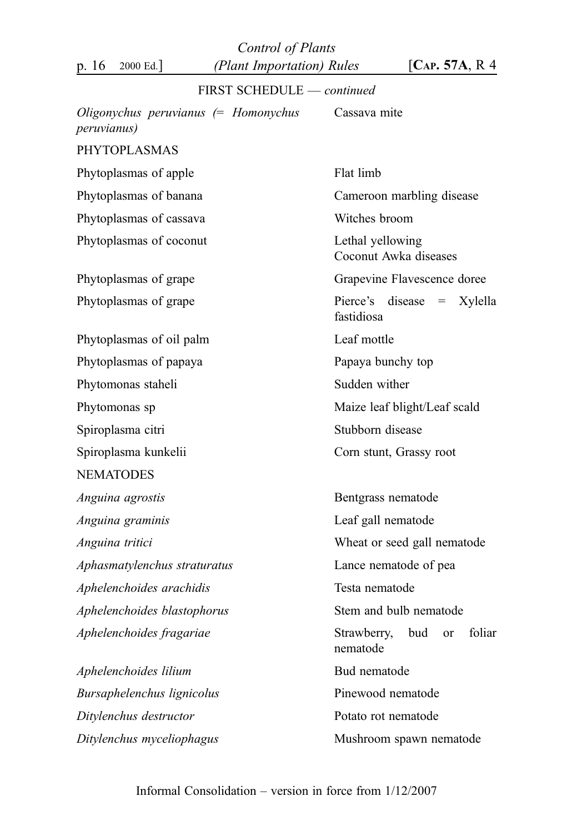Control of Plants p. 16 2000 Ed.] (Plant Importation) Rules [CAP. 57A, R 4

| FIRST SCHEDULE - continued                                    |                                                |
|---------------------------------------------------------------|------------------------------------------------|
| Oligonychus peruvianus $(=$ Homonychus<br><i>peruvianus</i> ) | Cassava mite                                   |
| <b>PHYTOPLASMAS</b>                                           |                                                |
| Phytoplasmas of apple                                         | Flat limb                                      |
| Phytoplasmas of banana                                        | Cameroon marbling disease                      |
| Phytoplasmas of cassava                                       | Witches broom                                  |
| Phytoplasmas of coconut                                       | Lethal yellowing<br>Coconut Awka diseases      |
| Phytoplasmas of grape                                         | Grapevine Flavescence doree                    |
| Phytoplasmas of grape                                         | Pierce's disease $=$<br>Xylella<br>fastidiosa  |
| Phytoplasmas of oil palm                                      | Leaf mottle                                    |
| Phytoplasmas of papaya                                        | Papaya bunchy top                              |
| Phytomonas staheli                                            | Sudden wither                                  |
| Phytomonas sp                                                 | Maize leaf blight/Leaf scald                   |
| Spiroplasma citri                                             | Stubborn disease                               |
| Spiroplasma kunkelii                                          | Corn stunt, Grassy root                        |
| <b>NEMATODES</b>                                              |                                                |
| Anguina agrostis                                              | Bentgrass nematode                             |
| Anguina graminis                                              | Leaf gall nematode                             |
| Anguina tritici                                               | Wheat or seed gall nematode                    |
| Aphasmatylenchus straturatus                                  | Lance nematode of pea                          |
| Aphelenchoides arachidis                                      | Testa nematode                                 |
| Aphelenchoides blastophorus                                   | Stem and bulb nematode                         |
| Aphelenchoides fragariae                                      | Strawberry,<br>bud<br>foliar<br>or<br>nematode |
| Aphelenchoides lilium                                         | Bud nematode                                   |
| Bursaphelenchus lignicolus                                    | Pinewood nematode                              |
| Ditylenchus destructor                                        | Potato rot nematode                            |
| Ditylenchus myceliophagus                                     | Mushroom spawn nematode                        |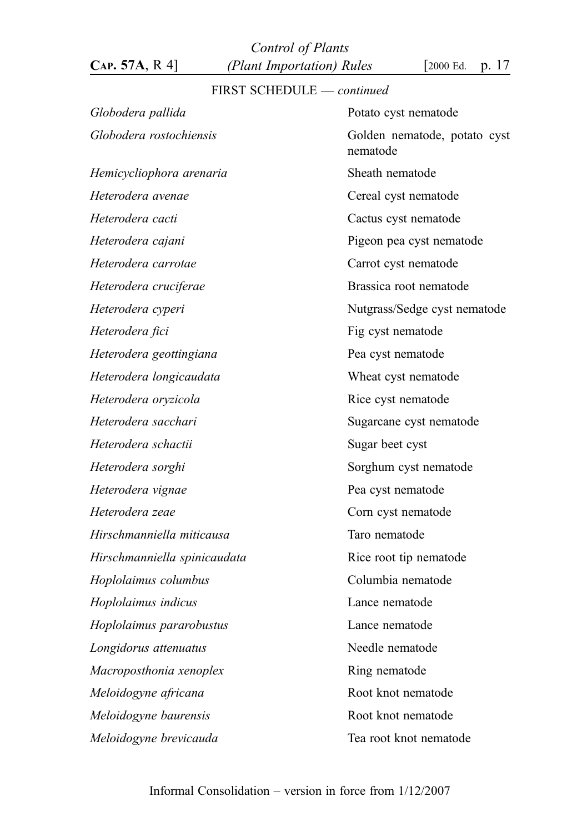Control of Plants CAP. 57A, R 4] (Plant Importation) Rules [2000 Ed. p. 17

# FIRST SCHEDULE — continued

| Globodera pallida                              | Potato cyst nematode                     |
|------------------------------------------------|------------------------------------------|
| Globodera rostochiensis                        | Golden nematode, potato cyst<br>nematode |
| Hemicycliophora arenaria                       | Sheath nematode                          |
| Heterodera avenae                              | Cereal cyst nematode                     |
| Heterodera cacti                               | Cactus cyst nematode                     |
| Heterodera cajani                              | Pigeon pea cyst nematode                 |
| Heterodera carrotae                            | Carrot cyst nematode                     |
| Heterodera cruciferae                          | Brassica root nematode                   |
| Heterodera cyperi                              | Nutgrass/Sedge cyst nematode             |
| Heterodera fici                                | Fig cyst nematode                        |
| Heterodera geottingiana                        | Pea cyst nematode                        |
| Heterodera longicaudata                        | Wheat cyst nematode                      |
| Heterodera oryzicola                           | Rice cyst nematode                       |
| Heterodera sacchari<br>Sugarcane cyst nematode |                                          |
| Heterodera schactii                            | Sugar beet cyst                          |
| Heterodera sorghi                              | Sorghum cyst nematode                    |
| Heterodera vignae                              | Pea cyst nematode                        |
| Heterodera zeae                                | Corn cyst nematode                       |
| Hirschmanniella miticausa                      | Taro nematode                            |
| Hirschmanniella spinicaudata                   | Rice root tip nematode                   |
| Hoplolaimus columbus                           | Columbia nematode                        |
| Hoplolaimus indicus                            | Lance nematode                           |
| Hoplolaimus pararobustus                       | Lance nematode                           |
| Longidorus attenuatus                          | Needle nematode                          |
| Macroposthonia xenoplex                        | Ring nematode                            |
| Root knot nematode<br>Meloidogyne africana     |                                          |
| Meloidogyne baurensis                          | Root knot nematode                       |
| Meloidogyne brevicauda                         | Tea root knot nematode                   |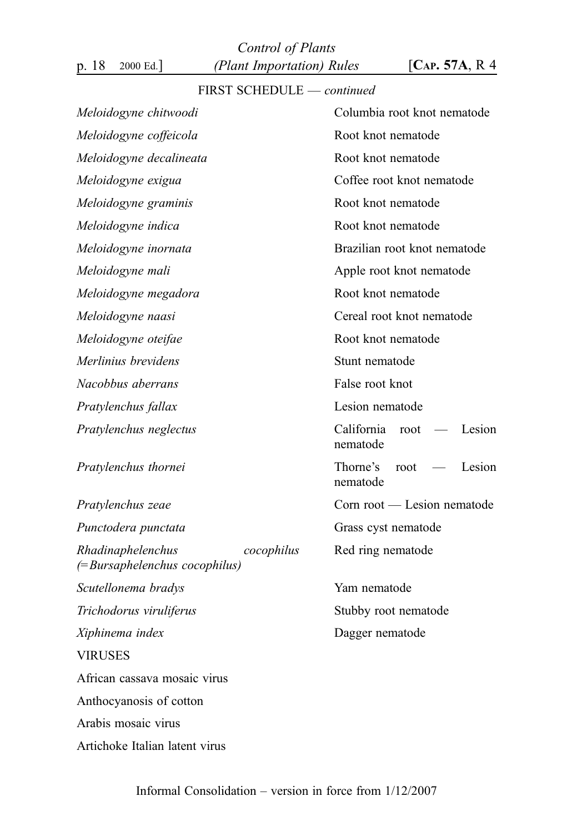Control of Plants p. 18 2000 Ed.] (Plant Importation) Rules [CAP. 57A, R 4

## FIRST SCHEDULE — continued

| Meloidogyne chitwoodi                                              | Columbia root knot nematode              |  |
|--------------------------------------------------------------------|------------------------------------------|--|
| Meloidogyne coffeicola                                             | Root knot nematode                       |  |
|                                                                    | Root knot nematode                       |  |
| Meloidogyne decalineata                                            |                                          |  |
| Meloidogyne exigua                                                 | Coffee root knot nematode                |  |
| Meloidogyne graminis                                               | Root knot nematode                       |  |
| Meloidogyne indica                                                 | Root knot nematode                       |  |
| Meloidogyne inornata                                               | Brazilian root knot nematode             |  |
| Meloidogyne mali                                                   | Apple root knot nematode                 |  |
| Meloidogyne megadora                                               | Root knot nematode                       |  |
| Meloidogyne naasi                                                  | Cereal root knot nematode                |  |
| Meloidogyne oteifae                                                | Root knot nematode                       |  |
| Merlinius brevidens                                                | Stunt nematode                           |  |
| Nacobbus aberrans                                                  | False root knot                          |  |
| Pratylenchus fallax                                                | Lesion nematode                          |  |
| Pratylenchus neglectus                                             | California<br>Lesion<br>root<br>nematode |  |
| Pratylenchus thornei                                               | Thorne's<br>root<br>Lesion<br>nematode   |  |
| Pratylenchus zeae                                                  | Corn root — Lesion nematode              |  |
| Punctodera punctata                                                | Grass cyst nematode                      |  |
| Rhadinaphelenchus<br>cocophilus<br>$(=Bursaphelenchus cocophilus)$ | Red ring nematode                        |  |
| Scutellonema bradys                                                | Yam nematode                             |  |
| Trichodorus viruliferus                                            | Stubby root nematode                     |  |
| Xiphinema index                                                    | Dagger nematode                          |  |
| <b>VIRUSES</b>                                                     |                                          |  |
| African cassava mosaic virus                                       |                                          |  |
| Anthocyanosis of cotton                                            |                                          |  |
| Arabis mosaic virus                                                |                                          |  |
| Artichoke Italian latent virus                                     |                                          |  |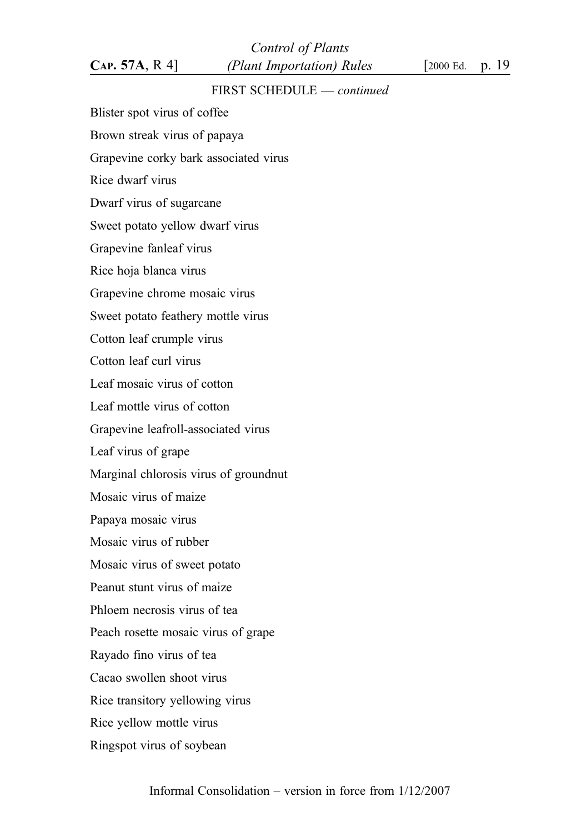## FIRST SCHEDULE — continued

Blister spot virus of coffee

Brown streak virus of papaya Grapevine corky bark associated virus Rice dwarf virus Dwarf virus of sugarcane Sweet potato yellow dwarf virus Grapevine fanleaf virus Rice hoja blanca virus Grapevine chrome mosaic virus Sweet potato feathery mottle virus Cotton leaf crumple virus Cotton leaf curl virus Leaf mosaic virus of cotton Leaf mottle virus of cotton Grapevine leafroll-associated virus Leaf virus of grape Marginal chlorosis virus of groundnut Mosaic virus of maize Papaya mosaic virus Mosaic virus of rubber Mosaic virus of sweet potato Peanut stunt virus of maize Phloem necrosis virus of tea Peach rosette mosaic virus of grape Rayado fino virus of tea Cacao swollen shoot virus Rice transitory yellowing virus Rice yellow mottle virus

Ringspot virus of soybean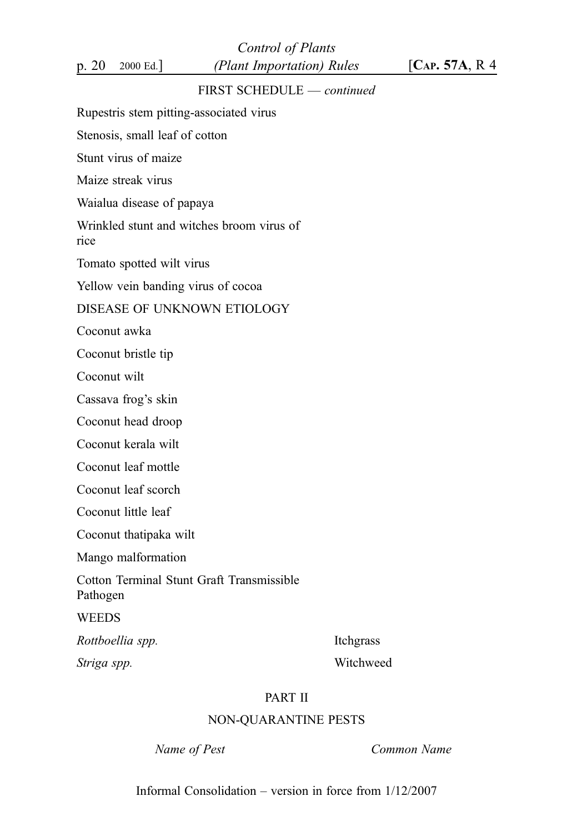Control of Plants p. 20 2000 Ed.]  $(Plant\, Important\,) Rules$   $[Car. 57A, R. 4]$ 

## FIRST SCHEDULE — continued

Rupestris stem pitting-associated virus

Stenosis, small leaf of cotton

Stunt virus of maize

Maize streak virus

Waialua disease of papaya

Wrinkled stunt and witches broom virus of

rice

Tomato spotted wilt virus

Yellow vein banding virus of cocoa

#### DISEASE OF UNKNOWN ETIOLOGY

Coconut awka

Coconut bristle tip

Coconut wilt

Cassava frog's skin

Coconut head droop

Coconut kerala wilt

Coconut leaf mottle

Coconut leaf scorch

Coconut little leaf

Coconut thatipaka wilt

Mango malformation

Cotton Terminal Stunt Graft Transmissible

Pathogen

**WEEDS** 

Rottboellia spp. **Itchgrass** 

Striga spp. Witchweed

## PART II

### NON-QUARANTINE PESTS

Name of Pest **Common Name** 

Informal Consolidation – version in force from 1/12/2007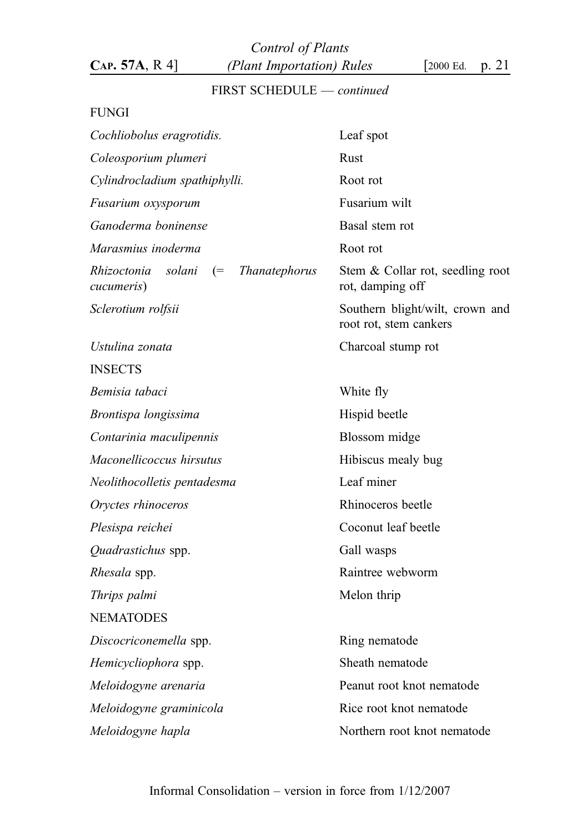Control of Plants  $CAP. 57A, R 4$  (Plant Importation) Rules [2000 Ed. p. 21]

# FIRST SCHEDULE — continued

## FUNGI

| Leaf spot                                                 |
|-----------------------------------------------------------|
| Rust                                                      |
| Root rot                                                  |
| Fusarium wilt                                             |
| Basal stem rot                                            |
| Root rot                                                  |
| Stem & Collar rot, seedling root<br>rot, damping off      |
| Southern blight/wilt, crown and<br>root rot, stem cankers |
| Charcoal stump rot                                        |
|                                                           |
| White fly                                                 |
| Hispid beetle                                             |
| Blossom midge                                             |
| Hibiscus mealy bug                                        |
| Leaf miner                                                |
| Rhinoceros beetle                                         |
| Coconut leaf beetle                                       |
| Gall wasps                                                |
| Raintree webworm                                          |
| Melon thrip                                               |
|                                                           |
| Ring nematode                                             |
| Sheath nematode                                           |
| Peanut root knot nematode                                 |
| Rice root knot nematode                                   |
| Northern root knot nematode                               |
|                                                           |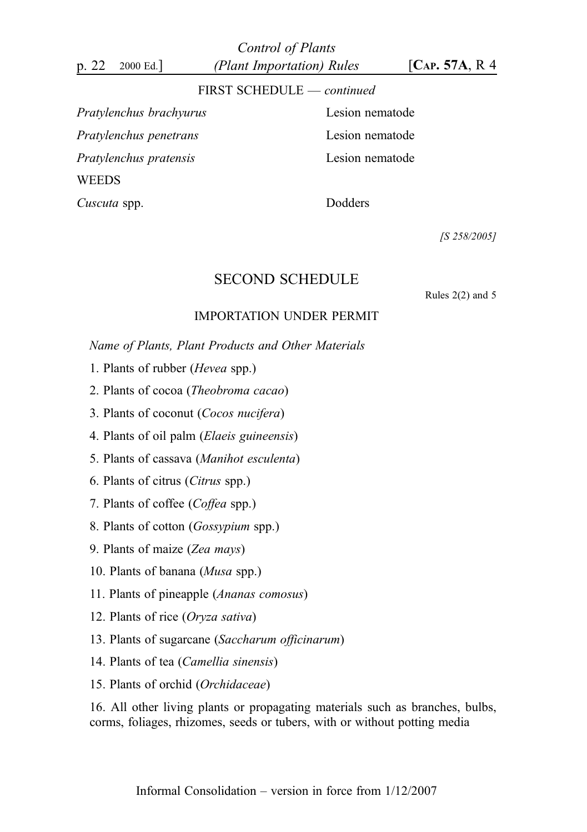Control of Plants p. 22 2000 Ed.]  $(Plant\, Important\,) Rules$   $[Car. 57A, R. 4]$ 

#### FIRST SCHEDULE — continued

Pratylenchus brachyurus Lesion nematode Pratylenchus penetrans Lesion nematode Pratylenchus pratensis Lesion nematode WEEDS

Cuscuta spp. Dodders

[S 258/2005]

## SECOND SCHEDULE

Rules 2(2) and 5

## IMPORTATION UNDER PERMIT

Name of Plants, Plant Products and Other Materials

- 1. Plants of rubber (Hevea spp.)
- 2. Plants of cocoa (Theobroma cacao)
- 3. Plants of coconut (Cocos nucifera)
- 4. Plants of oil palm (Elaeis guineensis)
- 5. Plants of cassava (Manihot esculenta)
- 6. Plants of citrus (Citrus spp.)
- 7. Plants of coffee (Coffea spp.)
- 8. Plants of cotton (Gossypium spp.)
- 9. Plants of maize (Zea mays)
- 10. Plants of banana (Musa spp.)
- 11. Plants of pineapple (Ananas comosus)
- 12. Plants of rice (Oryza sativa)
- 13. Plants of sugarcane (Saccharum officinarum)
- 14. Plants of tea (Camellia sinensis)
- 15. Plants of orchid (Orchidaceae)

16. All other living plants or propagating materials such as branches, bulbs, corms, foliages, rhizomes, seeds or tubers, with or without potting media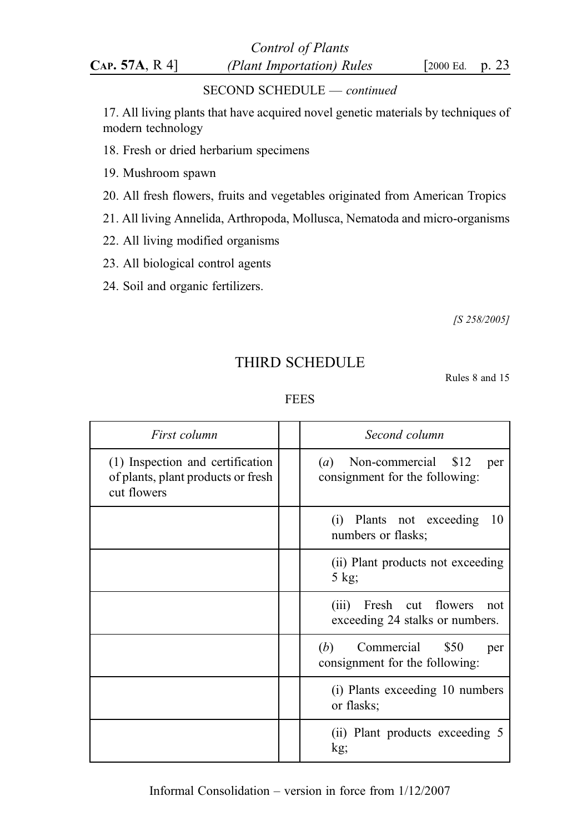Control of Plants  $CAP. 57A, R 4$  (Plant Importation) Rules [2000 Ed. p. 23

### SECOND SCHEDULE — continued

17. All living plants that have acquired novel genetic materials by techniques of modern technology

- 18. Fresh or dried herbarium specimens
- 19. Mushroom spawn
- 20. All fresh flowers, fruits and vegetables originated from American Tropics
- 21. All living Annelida, Arthropoda, Mollusca, Nematoda and micro-organisms
- 22. All living modified organisms
- 23. All biological control agents
- 24. Soil and organic fertilizers.

[S 258/2005]

# THIRD SCHEDULE

Rules 8 and 15

#### FEES

| First column                                                                          | Second column                                                        |
|---------------------------------------------------------------------------------------|----------------------------------------------------------------------|
| (1) Inspection and certification<br>of plants, plant products or fresh<br>cut flowers | $(a)$ Non-commercial \$12<br>per<br>consignment for the following:   |
|                                                                                       | (i) Plants not exceeding<br>10<br>numbers or flasks;                 |
|                                                                                       | (ii) Plant products not exceeding<br>5 kg;                           |
|                                                                                       | Fresh cut flowers<br>(iii)<br>not<br>exceeding 24 stalks or numbers. |
|                                                                                       | Commercial \$50<br>(b)<br>per<br>consignment for the following:      |
|                                                                                       | (i) Plants exceeding 10 numbers<br>or flasks;                        |
|                                                                                       | (ii) Plant products exceeding 5<br>kg;                               |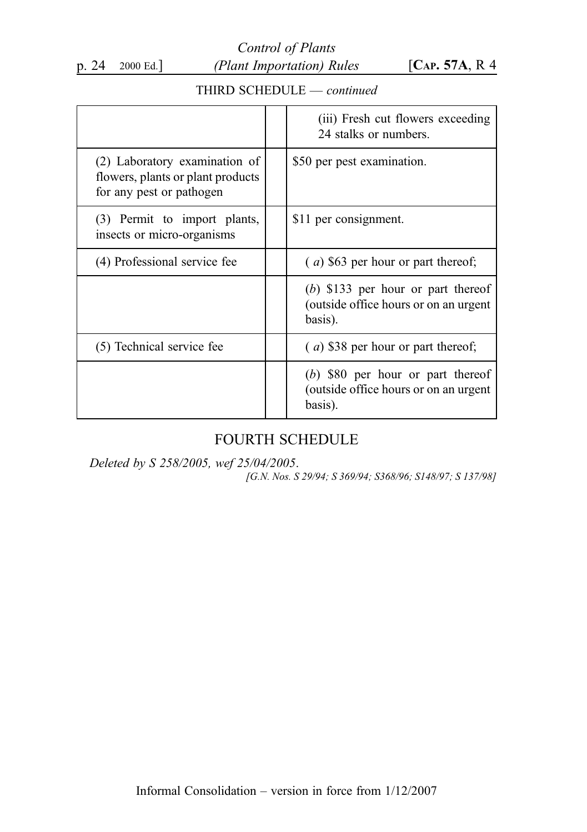Control of Plants p. 24 2000 Ed.] (Plant Importation) Rules [CAP. 57A, R 4

## THIRD SCHEDULE — continued

|                                                                                                | (iii) Fresh cut flowers exceeding<br>24 stalks or numbers.                               |
|------------------------------------------------------------------------------------------------|------------------------------------------------------------------------------------------|
| (2) Laboratory examination of<br>flowers, plants or plant products<br>for any pest or pathogen | \$50 per pest examination.                                                               |
| (3) Permit to import plants,<br>insects or micro-organisms                                     | \$11 per consignment.                                                                    |
| (4) Professional service fee                                                                   | $(a)$ \$63 per hour or part thereof;                                                     |
|                                                                                                | $(b)$ \$133 per hour or part thereof<br>(outside office hours or on an urgent<br>basis). |
| (5) Technical service fee                                                                      | $(a)$ \$38 per hour or part thereof;                                                     |
|                                                                                                | $(b)$ \$80 per hour or part thereof<br>(outside office hours or on an urgent<br>basis).  |

# FOURTH SCHEDULE

Deleted by S 258/2005, wef 25/04/2005. [G.N. Nos. S 29/94; S 369/94; S368/96; S148/97; S 137/98]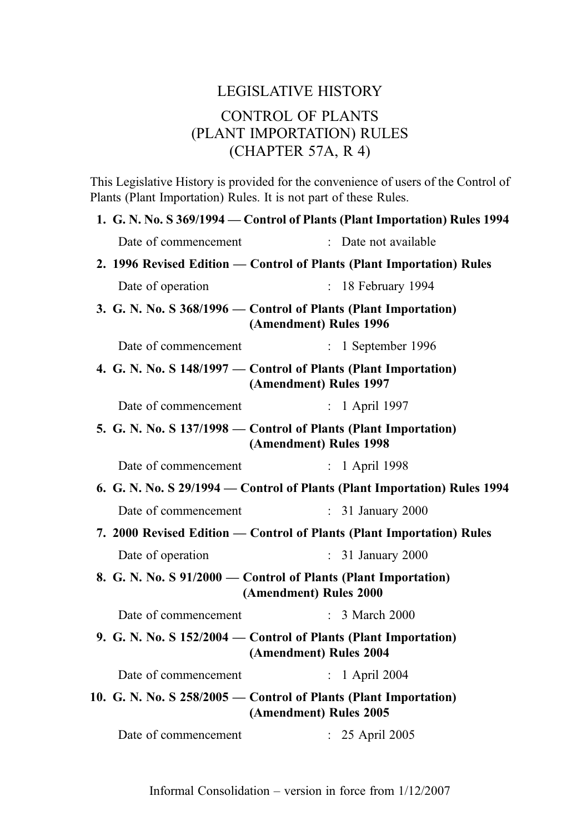# LEGISLATIVE HISTORY CONTROL OF PLANTS (PLANT IMPORTATION) RULES (CHAPTER 57A, R 4)

This Legislative History is provided for the convenience of users of the Control of Plants (Plant Importation) Rules. It is not part of these Rules.

|                                                                                          | 1. G. N. No. S 369/1994 – Control of Plants (Plant Importation) Rules 1994                 |  |
|------------------------------------------------------------------------------------------|--------------------------------------------------------------------------------------------|--|
| Date of commencement                                                                     | : Date not available                                                                       |  |
| 2. 1996 Revised Edition — Control of Plants (Plant Importation) Rules                    |                                                                                            |  |
| Date of operation                                                                        | 18 February 1994<br>$\mathcal{L}$                                                          |  |
|                                                                                          | 3. G. N. No. S 368/1996 - Control of Plants (Plant Importation)<br>(Amendment) Rules 1996  |  |
| Date of commencement                                                                     | $: 1$ September 1996                                                                       |  |
|                                                                                          | 4. G. N. No. S 148/1997 — Control of Plants (Plant Importation)<br>(Amendment) Rules 1997  |  |
| Date of commencement                                                                     | : 1 April 1997                                                                             |  |
|                                                                                          | 5. G. N. No. S 137/1998 – Control of Plants (Plant Importation)<br>(Amendment) Rules 1998  |  |
| Date of commencement                                                                     | 1 April 1998<br>$\mathbb{R}^{\mathbb{Z}}$                                                  |  |
|                                                                                          | 6. G. N. No. S 29/1994 – Control of Plants (Plant Importation) Rules 1994                  |  |
| Date of commencement                                                                     | $\mathbf{r}$<br>31 January 2000                                                            |  |
|                                                                                          | 7. 2000 Revised Edition — Control of Plants (Plant Importation) Rules                      |  |
| Date of operation                                                                        | 31 January 2000<br>$\mathbb{R}^{\mathbb{Z}}$                                               |  |
| 8. G. N. No. S 91/2000 — Control of Plants (Plant Importation)<br>(Amendment) Rules 2000 |                                                                                            |  |
| Date of commencement                                                                     | $\therefore$ 3 March 2000                                                                  |  |
|                                                                                          | 9. G. N. No. S 152/2004 — Control of Plants (Plant Importation)<br>(Amendment) Rules 2004  |  |
| Date of commencement                                                                     | $: 1$ April 2004                                                                           |  |
|                                                                                          | 10. G. N. No. S 258/2005 – Control of Plants (Plant Importation)<br>(Amendment) Rules 2005 |  |
| Date of commencement                                                                     | : 25 April 2005                                                                            |  |